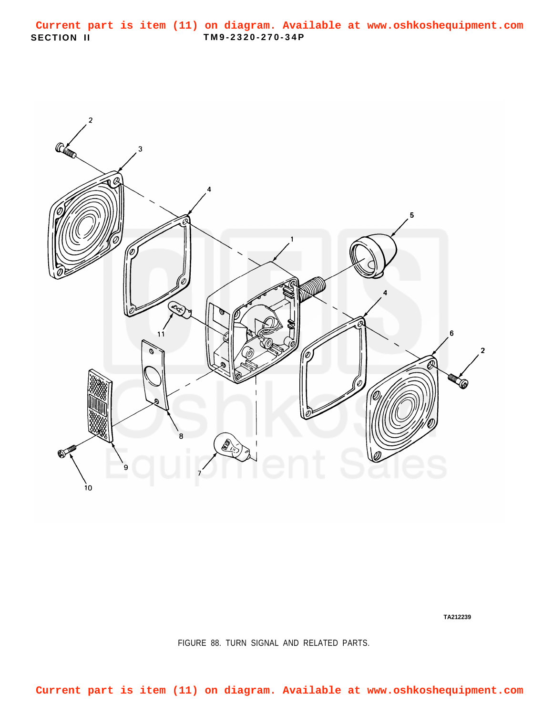<span id="page-0-0"></span>

**TA212239**

FIGURE 88. TURN SIGNAL AND RELATED PARTS.

**Current part is item (11) on diagram. Available at www.oshkoshequipment.com**